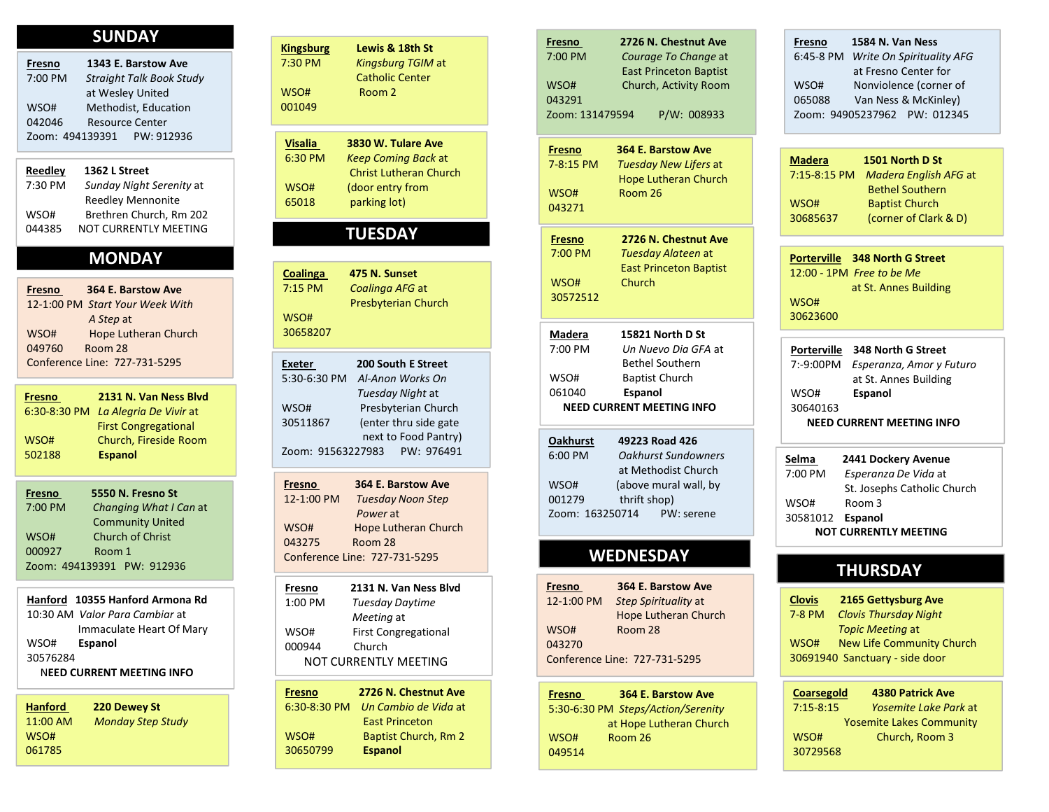## **SUNDAY**

| Fresno  | 1343 E. Barstow Ave             | 7:30 PM | <b>Kingsburg T</b>  |
|---------|---------------------------------|---------|---------------------|
| 7:00 PM | <b>Straight Talk Book Study</b> |         | <b>Catholic Cer</b> |
|         | at Wesley United                | WSO#    | Room 2              |
| WSO#    | Methodist, Education            | 001049  |                     |
| 042046  | <b>Resource Center</b>          |         |                     |
|         | Zoom: 494139391 PW: 912936      | Vicalia | <b>2830 W Tula</b>  |

# **MONDAY**

| 364 E. Barstow Ave<br>Fresno<br>12-1:00 PM Start Your Week With | $7:15$ PM        | Coalinga AF<br>Presbyterian |
|-----------------------------------------------------------------|------------------|-----------------------------|
| A Step at<br>Hope Lutheran Church<br>WSO#                       | WSO#<br>30658207 |                             |
| 049760<br>Room 28                                               |                  |                             |
| Conference Line: 727-731-5295                                   | <b>Exeter</b>    | 200 South                   |

|         |                            | 12-1:00 PM             | Tuesday  |
|---------|----------------------------|------------------------|----------|
| 7:00 PM | Changing What I Can at     |                        | Power at |
|         | <b>Community United</b>    | WSO#                   | Hope Lut |
| WSO#    | <b>Church of Christ</b>    | 043275                 | Room 28  |
| 000927  | Room 1                     | Conference Line: 727-7 |          |
|         | Zoom: 494139391 PW: 912936 |                        |          |

|                                 | .<br>ELJI IN. VAII INCJJ DIVU       |
|---------------------------------|-------------------------------------|
| Hanford 10355 Hanford Armona Rd | 1:00 PM<br>Tuesday Daytime          |
| 10:30 AM Valor Para Cambiar at  | Meeting at                          |
| Immaculate Heart Of Mary        | <b>First Congregational</b><br>WSO# |
| WSO#<br>Espanol                 | Church<br>000944                    |
| 30576284                        | NOT CURRENTLY MEETING               |
| NEED CURRENT MEETING INFO       |                                     |

| <b>Hanford</b> | 220 Dewey St             | $6:30-8:30$ PM | Un  |
|----------------|--------------------------|----------------|-----|
| 11:00 AM       | <b>Monday Step Study</b> |                | Eas |
| WSO#           |                          | WSO#           | Bai |
| 061785         |                          | 30650799       | Esp |

| <b>SUNDAY</b><br>1343 E. Barstow Ave<br>Fresno<br>7:00 PM<br><b>Straight Talk Book Study</b><br>at Wesley United<br>WSO#<br>Methodist, Education                                                                                       | <b>Kingsburg</b><br>Lewis & 18th St<br>7:30 PM<br>Kingsburg TGIM at<br><b>Catholic Center</b><br>WSO#<br>Room 2<br>001049                                                                                                                  | 2726 N. Ches<br>Fresno<br>7:00 PM<br>Courage To C<br><b>East Princeto</b><br>WSO#<br>Church, Activ<br>043291<br>$P/W$ :<br>Zoom: 131479594                                 |
|----------------------------------------------------------------------------------------------------------------------------------------------------------------------------------------------------------------------------------------|--------------------------------------------------------------------------------------------------------------------------------------------------------------------------------------------------------------------------------------------|----------------------------------------------------------------------------------------------------------------------------------------------------------------------------|
| 042046<br><b>Resource Center</b><br>Zoom: 494139391<br>PW: 912936<br><b>Reedley</b><br>1362 L Street<br>7:30 PM<br>Sunday Night Serenity at<br>Reedley Mennonite<br>Brethren Church, Rm 202<br>WSO#<br>044385<br>NOT CURRENTLY MEETING | 3830 W. Tulare Ave<br><b>Visalia</b><br><b>Keep Coming Back at</b><br>6:30 PM<br><b>Christ Lutheran Church</b><br>(door entry from<br>WSO#<br>65018<br>parking lot)<br><b>TUESDAY</b>                                                      | 364 E. Barstoy<br><b>Fresno</b><br>7-8:15 PM<br><b>Tuesday New</b><br><b>Hope Luthera</b><br>Room 26<br>WSO#<br>043271                                                     |
| <b>MONDAY</b><br>Fresno<br>364 E. Barstow Ave<br>12-1:00 PM Start Your Week With<br>A Step at<br><b>Hope Lutheran Church</b><br>WSO#                                                                                                   | 475 N. Sunset<br><b>Coalinga</b><br>7:15 PM<br>Coalinga AFG at<br>Presbyterian Church<br>WSO#<br>30658207                                                                                                                                  | 2726 N. Ches<br><b>Fresno</b><br>7:00 PM<br>Tuesday Alat<br><b>East Princeto</b><br>WSO#<br>Church<br>30572512<br><b>Madera</b><br>15821 North                             |
| 049760<br>Room 28<br>Conference Line: 727-731-5295<br>2131 N. Van Ness Blvd<br>Fresno<br>6:30-8:30 PM La Alegria De Vivir at<br><b>First Congregational</b>                                                                            | 200 South E Street<br><b>Exeter</b><br>5:30-6:30 PM Al-Anon Works On<br>Tuesday Night at<br>Presbyterian Church<br>WSO#<br>(enter thru side gate<br>30511867                                                                               | 7:00 PM<br>Un Nuevo Di<br><b>Bethel South</b><br>WSO#<br><b>Baptist Churd</b><br>061040<br>Espanol<br><b>NEED CURRENT MEETING</b>                                          |
| Church, Fireside Room<br>WSO#<br>502188<br><b>Espanol</b><br>5550 N. Fresno St<br>Fresno<br>7:00 PM<br>Changing What I Can at<br><b>Community United</b><br>Church of Christ<br>WSO#<br>000927<br>Room 1<br>Zoom: 494139391 PW: 912936 | next to Food Pantry)<br>PW: 976491<br>Zoom: 91563227983<br>364 E. Barstow Ave<br>Fresno<br>12-1:00 PM<br><b>Tuesday Noon Step</b><br>Power at<br>WSO#<br><b>Hope Lutheran Church</b><br>043275<br>Room 28<br>Conference Line: 727-731-5295 | 49223 Road 4<br><b>Oakhurst</b><br>Oakhurst Sun<br>6:00 PM<br>at Methodist<br>WSO#<br>(above mural<br>001279<br>thrift shop)<br>Zoom: 163250714<br>PW:<br><b>WEDNESDAY</b> |
| Hanford 10355 Hanford Armona Rd<br>10:30 AM Valor Para Cambiar at<br>Immaculate Heart Of Mary<br>WSO#<br>Espanol<br>30576284<br><b>NEED CURRENT MEETING INFO</b>                                                                       | 2131 N. Van Ness Blvd<br><b>Fresno</b><br>1:00 PM<br><b>Tuesday Daytime</b><br>Meeting at<br>WSO#<br>First Congregational<br>Church<br>000944<br>NOT CURRENTLY MEETING                                                                     | 364 E. Barstoy<br>Fresno<br>12-1:00 PM<br>Step Spirituali<br>Hope Luthera<br>WSO#<br>Room 28<br>043270<br>Conference Line: 727-731-5                                       |
| <b>Hanford</b><br>220 Dewey St<br>11:00 AM<br><b>Monday Step Study</b>                                                                                                                                                                 | 2726 N. Chestnut Ave<br><b>Fresno</b><br>6:30-8:30 PM<br>Un Cambio de Vida at<br><b>East Princeton</b>                                                                                                                                     | 364 E. Barsto<br><b>Fresno</b><br>5:30-6:30 PM Steps/Action/<br>at Hope Luthera                                                                                            |

| Fresno  | 2131 N. Van Ness Blvd       | <b>Fresno</b> | 364 E. Barstov              |
|---------|-----------------------------|---------------|-----------------------------|
| 1:00 PM | <b>Tuesday Daytime</b>      | 12-1:00 PM    | <b>Step Spiritualit</b>     |
|         | Meeting at                  |               | <b>Hope Lutherar</b>        |
| WSO#    | <b>First Congregational</b> | WSO#          | Room 28                     |
| 000944  | Church                      | 043270        |                             |
|         | NOT CURRENTLY MEETING       |               | Conference Line: 727-731-52 |

| Fresno   | 2726 N. Chestnut Ave              | <b>Fresno</b> | <b>364 E. Barst</b>       |
|----------|-----------------------------------|---------------|---------------------------|
|          | 6:30-8:30 PM Un Cambio de Vida at |               | 5:30-6:30 PM Steps/Action |
|          | <b>East Princeton</b>             |               | at Hope Luther            |
| WSO#     | Baptist Church, Rm 2              | WSO#          | Room 26                   |
| 30650799 | <b>Espanol</b>                    | 049514        |                           |
|          |                                   |               |                           |

| <b>Kingsburg</b><br>Lewis & 18th St<br>7:30 PM<br>Kingsburg TGIM at<br><b>Catholic Center</b><br>WSO#<br>Room 2<br>001049                                                                                                              | 2726 N. Chestnut Ave<br><b>Fresno</b><br>7:00 PM<br>Courage To Change at<br><b>East Princeton Baptist</b><br>WSO#<br>Church, Activity Room<br>043291<br>Zoom: 131479594<br>P/W: 008933                                                                         | 1584 N. Van Ness<br>Fresno<br>6:45-8 PM Write On Spirituality AFG<br>at Fresno Center for<br>WSO#<br>Nonviolence (corner of<br>065088<br>Van Ness & McKinley)<br>Zoom: 94905237962 PW: 012345       |
|----------------------------------------------------------------------------------------------------------------------------------------------------------------------------------------------------------------------------------------|----------------------------------------------------------------------------------------------------------------------------------------------------------------------------------------------------------------------------------------------------------------|-----------------------------------------------------------------------------------------------------------------------------------------------------------------------------------------------------|
| 3830 W. Tulare Ave<br><b>Visalia</b><br><b>Keep Coming Back at</b><br>6:30 PM<br><b>Christ Lutheran Church</b><br>WSO#<br>(door entry from<br>parking lot)<br>65018                                                                    | 364 E. Barstow Ave<br>Fresno<br>Tuesday New Lifers at<br>7-8:15 PM<br><b>Hope Lutheran Church</b><br>WSO#<br>Room 26<br>043271                                                                                                                                 | <b>Madera</b><br>1501 North D St<br>Madera English AFG at<br>7:15-8:15 PM<br><b>Bethel Southern</b><br><b>Baptist Church</b><br>WSO#<br>(corner of Clark & D)<br>30685637                           |
| <b>TUESDAY</b><br><b>Coalinga</b><br>475 N. Sunset<br>Coalinga AFG at<br>7:15 PM<br>Presbyterian Church<br>WSO#                                                                                                                        | 2726 N. Chestnut Ave<br><b>Fresno</b><br>Tuesday Alateen at<br>7:00 PM<br><b>East Princeton Baptist</b><br>WSO#<br>Church<br>30572512                                                                                                                          | Porterville 348 North G Street<br>12:00 - 1PM Free to be Me<br>at St. Annes Building<br>WSO#<br>30623600                                                                                            |
| 30658207<br>200 South E Street<br><b>Exeter</b><br>5:30-6:30 PM<br>Al-Anon Works On<br>Tuesday Night at<br>Presbyterian Church<br>WSO#<br>(enter thru side gate<br>30511867<br>next to Food Pantry)<br>Zoom: 91563227983<br>PW: 976491 | 15821 North D St<br><b>Madera</b><br>7:00 PM<br>Un Nuevo Dia GFA at<br><b>Bethel Southern</b><br>WSO#<br><b>Baptist Church</b><br>061040<br>Espanol<br>NEED CURRENT MEETING INFO<br>49223 Road 426<br><b>Oakhurst</b><br><b>Oakhurst Sundowners</b><br>6:00 PM | 348 North G Street<br><b>Porterville</b><br>7:-9:00PM<br>Esperanza, Amor y Futuro<br>at St. Annes Building<br>WSO#<br>Espanol<br>30640163<br><b>NEED CURRENT MEETING INFO</b>                       |
| 364 E. Barstow Ave<br>Fresno<br>12-1:00 PM<br><b>Tuesday Noon Step</b><br>Power at<br><b>Hope Lutheran Church</b><br>WSO#<br>043275<br>Room 28<br>Conference Line: 727-731-5295                                                        | at Methodist Church<br>WSO#<br>(above mural wall, by<br>001279<br>thrift shop)<br>Zoom: 163250714<br>PW: serene<br><b>WEDNESDAY</b>                                                                                                                            | Selma<br>2441 Dockery Avenue<br>Esperanza De Vida at<br>7:00 PM<br>St. Josephs Catholic Church<br>WSO#<br>Room 3<br>30581012 Espanol<br><b>NOT CURRENTLY MEETING</b>                                |
| 2131 N. Van Ness Blvd<br><u>Fresno</u><br>1:00 PM<br>Tuesday Daytime<br>Meeting at<br>First Congregational<br>WSO#<br>000944<br>Church<br>NOT CURRENTLY MEETING                                                                        | 364 E. Barstow Ave<br>Fresno<br>12-1:00 PM<br>Step Spirituality at<br><b>Hope Lutheran Church</b><br>Room 28<br>WSO#<br>043270<br>Conference Line: 727-731-5295                                                                                                | <b>THURSDAY</b><br>2165 Gettysburg Ave<br><b>Clovis</b><br><b>Clovis Thursday Night</b><br>7-8 PM<br><b>Topic Meeting at</b><br>New Life Community Church<br>WSO#<br>30691940 Sanctuary - side door |
| 2726 N. Chestnut Ave<br><b>Fresno</b><br>6:30-8:30 PM<br>Un Cambio de Vida at<br><b>East Princeton</b><br>WSO#<br><b>Baptist Church, Rm 2</b><br>30650799<br><b>Espanol</b>                                                            | 364 E. Barstow Ave<br>Fresno<br>5:30-6:30 PM Steps/Action/Serenity<br>at Hope Lutheran Church<br>WSO#<br>Room 26<br>049514                                                                                                                                     | <b>4380 Patrick Ave</b><br>Coarsegold<br>$7:15-8:15$<br>Yosemite Lake Park at<br><b>Yosemite Lakes Community</b><br>WSO#<br>Church, Room 3<br>30729568                                              |

Fresno 1584 N. Van Ness<br>
6:45-8 PM *Write On Spirituality AFG*<br>
at Fresno Center for<br>
WSO# Nonviolence (corner of<br>
065088 Van Ness & McKinley)<br>
Zoom: 94905237962 PW: 012345<br>
Madera 1501 North D St<br>
7:15-8:15 PM *Madera Eng* Fresno 1584 N. Van Ness<br>
6:45-8 PM Write On Spirituality AFG<br>
at Fresno Center for<br>
WSO# Nonviolence (corner of<br>
065088 Van Ness & McKinley)<br>
Zoom: 94905237962 PW: 012345 at Fresno Center for 5088 Van Ness & McKinley) Fresno 1584 N. Van Ness<br>
6:45-8 PM Write On Spirituality AFG<br>
at Fresno Center for<br>
WSO# Nonviolence (corner of<br>
065088 Van Ness & McKinley)<br>
Zoom: 94905237962 PW: 012345<br>
Madera 1501 North D St<br>
7:15-8:15 PM Madera Englis Fresno 1584 N. Van Ness<br>
6:45-8 PM Write On Spirituality AFG<br>
at Fresno Center for<br>
WSO# Nonviolence (corner of<br>
065088 Van Ness & McKinley)<br>
Zoom: 94905237962 PW: 012345<br>
Madera 1501 North D St<br>
7:15-8:15 PM Madera Englis

| 1501 North D St                    |
|------------------------------------|
| 7:15-8:15 PM Madera English AFG at |
| <b>Bethel Southern</b>             |
| <b>Baptist Church</b>              |
| (corner of Clark & D)              |
|                                    |

| 1584 N. Van Ness<br><b>Fresno</b>                                                      |
|----------------------------------------------------------------------------------------|
| 6:45-8 PM Write On Spirituality AFG<br>at Fresno Center for                            |
| WSO#<br>Nonviolence (corner of                                                         |
| 065088<br>Van Ness & McKinley)                                                         |
| Zoom: 94905237962 PW: 012345                                                           |
|                                                                                        |
| 1501 North D St<br><b>Madera</b>                                                       |
| 7:15-8:15 PM Madera English AFG at<br><b>Bethel Southern</b>                           |
| <b>Baptist Church</b><br>WSO#                                                          |
| (corner of Clark & D)<br>30685637                                                      |
|                                                                                        |
| Porterville 348 North G Street                                                         |
| 12:00 - 1PM Free to be Me                                                              |
| at St. Annes Building<br>WSO#                                                          |
| 30623600                                                                               |
|                                                                                        |
| Porterville 348 North G Street<br>7:-9:00PM Esperanza, Amor y Futuro                   |
| at St. Annes Building                                                                  |
| WSO#<br>Espanol                                                                        |
| 30640163                                                                               |
| <b>NEED CURRENT MEETING INFO</b>                                                       |
| <u>Selma</u><br>2441 Dockery Avenue                                                    |
| 7:00 PM<br>Esperanza De Vida at                                                        |
| St. Josephs Catholic Church                                                            |
| Room 3<br>WSO#<br>30581012<br><b>Espanol</b>                                           |
| <b>NOT CURRENTLY MEETING</b>                                                           |
|                                                                                        |
| <b>THURSDAY</b>                                                                        |
|                                                                                        |
| <b>2165 Gettysburg Ave</b><br><b>Clovis</b>                                            |
| 7-8 PM<br><b>Clovis Thursday Night</b><br><b>Topic Meeting at</b>                      |
| New Life Community Church<br>WSO#                                                      |
| 30691940 Sanctuary - side door                                                         |
|                                                                                        |
| <b>Coarsegold</b><br><b>4380 Patrick Ave</b><br>$7:15 - 8:15$<br>Yosemite Lake Park at |
| <b>Yosemite Lakes Community</b>                                                        |
| Church, Room 3<br>WSO#                                                                 |
| 30729568                                                                               |
|                                                                                        |
|                                                                                        |

| Selma    | 2441 Dockery Avenue          |  |
|----------|------------------------------|--|
| 7:00 PM  | Esperanza De Vida at         |  |
|          | St. Josephs Catholic Church  |  |
| WSO#     | Room 3                       |  |
| 30581012 | Espanol                      |  |
|          | <b>NOT CURRENTLY MEETING</b> |  |
|          |                              |  |

# **THURSDAY**

| <b>Clovis</b> | 2165 Gettysburg Ave              |  |
|---------------|----------------------------------|--|
| 7-8 PM        | <b>Clovis Thursday Night</b>     |  |
|               | Topic Meeting at                 |  |
| WSO#          | <b>New Life Community Church</b> |  |
|               | 30691940 Sanctuary - side door   |  |
|               |                                  |  |

| <b>Coarsegold</b> | <b>4380 Patrick Ave</b>         |  |
|-------------------|---------------------------------|--|
| 7:15-8:15         | <i>Yosemite Lake Park</i> at    |  |
|                   | <b>Yosemite Lakes Community</b> |  |
| WSO#              | Church, Room 3                  |  |
| 30729568          |                                 |  |